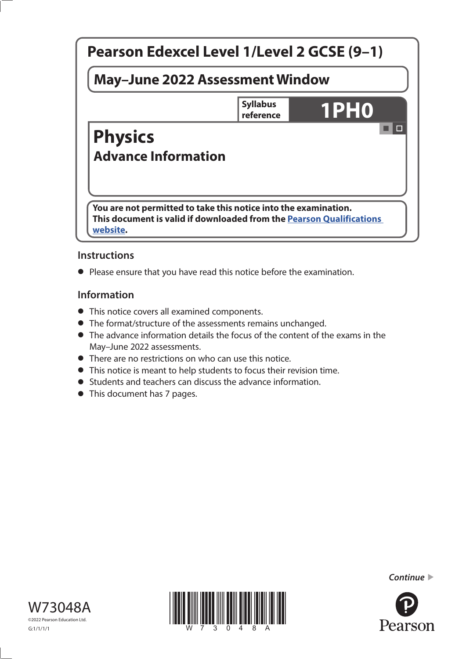

# **Instructions**

**•** Please ensure that you have read this notice before the examination.

# **Information**

- **•** This notice covers all examined components.
- **•** The format/structure of the assessments remains unchanged.
- **•** The advance information details the focus of the content of the exams in the May–June 2022 assessments.
- **•** There are no restrictions on who can use this notice.
- **•** This notice is meant to help students to focus their revision time.
- **•** Students and teachers can discuss the advance information.
- **•** This document has 7 pages.







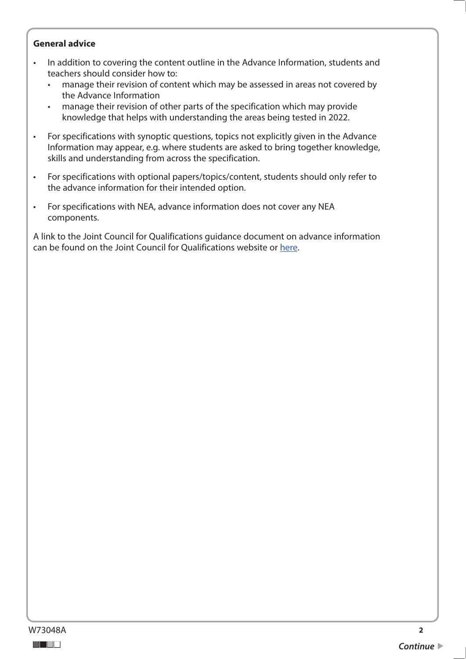#### **General advice**

- In addition to covering the content outline in the Advance Information, students and teachers should consider how to:
	- manage their revision of content which may be assessed in areas not covered by the Advance Information
	- manage their revision of other parts of the specification which may provide knowledge that helps with understanding the areas being tested in 2022.
- For specifications with synoptic questions, topics not explicitly given in the Advance Information may appear, e.g. where students are asked to bring together knowledge, skills and understanding from across the specification.
- For specifications with optional papers/topics/content, students should only refer to the advance information for their intended option.
- For specifications with NEA, advance information does not cover any NEA components.

A link to the Joint Council for Qualifications guidance document on advance information can be found on the Joint Council for Qualifications website or [here.](https://www.jcq.org.uk/wp-content/uploads/2021/10/Advance-Information-for-General-Qualifications-2021-22.pdf)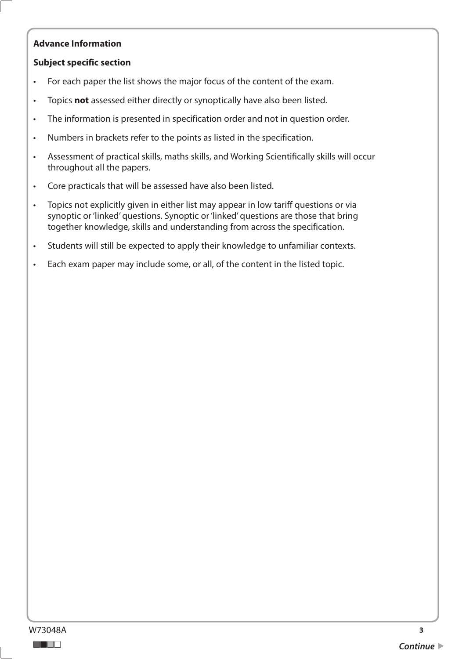# **Advance Information**

### **Subject specific section**

- For each paper the list shows the major focus of the content of the exam.
- Topics **not** assessed either directly or synoptically have also been listed.
- The information is presented in specification order and not in question order.
- Numbers in brackets refer to the points as listed in the specification.
- Assessment of practical skills, maths skills, and Working Scientifically skills will occur throughout all the papers.
- Core practicals that will be assessed have also been listed.
- Topics not explicitly given in either list may appear in low tariff questions or via synoptic or 'linked' questions. Synoptic or 'linked' questions are those that bring together knowledge, skills and understanding from across the specification.
- Students will still be expected to apply their knowledge to unfamiliar contexts.
- Each exam paper may include some, or all, of the content in the listed topic.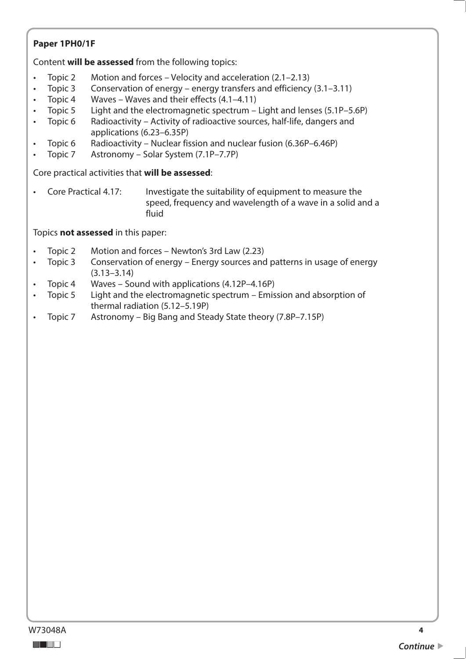# **Paper 1PH0/1F**

Content **will be assessed** from the following topics:

- Topic 2 • Topic 2 Motion and forces – Velocity and acceleration ([2.1–2.13](https://2.1�2.13))
- Topic 3 Conservation of energy – energy transfers and efficiency  $(3.1-3.11)$
- Topic 4 Waves – Waves and their effects  $(4.1-4.11)$
- Topic 5 • Topic 5 Light and the electromagnetic spectrum – Light and lenses (5.1P–5.6P)
- Topic 6 Radioactivity – Activity of radioactive sources, half-life, dangers and applications (6.23–6.35P)
- Topic<sub>6</sub> Radioactivity – Nuclear fission and nuclear fusion (6.36P–6.46P)
- Topic 7 Astronomy Solar System (7.1P–7.7P)

Core practical activities that **will be assessed**:

• Core Practical 4.17: Investigate the suitability of equipment to measure the speed, frequency and wavelength of a wave in a solid and a fluid

Topics **not assessed** in this paper:

- Topic 2 • Topic 2 Motion and forces – Newton's 3rd Law (2.23)
- Topic 3 Conservation of energy Energy sources and patterns in usage of energy (3.13–3.14)
- Topic 4 Waves – Sound with applications  $(4.12P-4.16P)$
- Topic 5 • Topic 5 Light and the electromagnetic spectrum – Emission and absorption of thermal radiation (5.12–5.19P)
- Topic 7 Astronomy Big Bang and Steady State theory (7.8P–7.15P)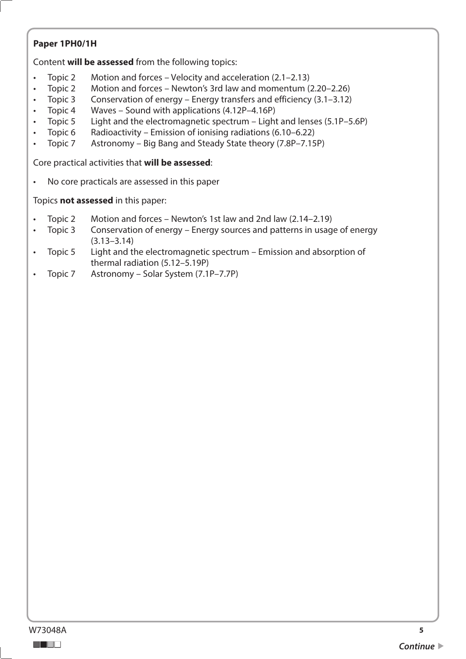# **Paper 1PH0/1H**

Content **will be assessed** from the following topics:

- Topic 2 • Topic 2 Motion and forces – Velocity and acceleration ([2.1–2.13](https://2.1�2.13))
- Topic 2 Motion and forces – Newton's 3rd law and momentum (2.20–2.26)
- Topic 3 Conservation of energy – Energy transfers and efficiency  $(3.1-3.12)$
- Topic 4 • Topic 4 Waves – Sound with applications (4.12P–4.16P)
- Topic 5 Light and the electromagnetic spectrum – Light and lenses (5.1P–5.6P)
- Topic 6 Radioactivity – Emission of ionising radiations (6.10–6.22)
- Topic 7 Astronomy Big Bang and Steady State theory (7.8P–7.15P)

Core practical activities that **will be assessed**:

• No core practicals are assessed in this paper

Topics **not assessed** in this paper:

- Topic 2 Motion and forces – Newton's 1st law and 2nd law  $(2.14-2.19)$
- Topic 3 • Topic 3 Conservation of energy – Energy sources and patterns in usage of energy (3.13–3.14)
- Topic 5 • Topic 5 Light and the electromagnetic spectrum – Emission and absorption of thermal radiation (5.12–5.19P)
- Topic 7 Astronomy Solar System (7.1P–7.7P)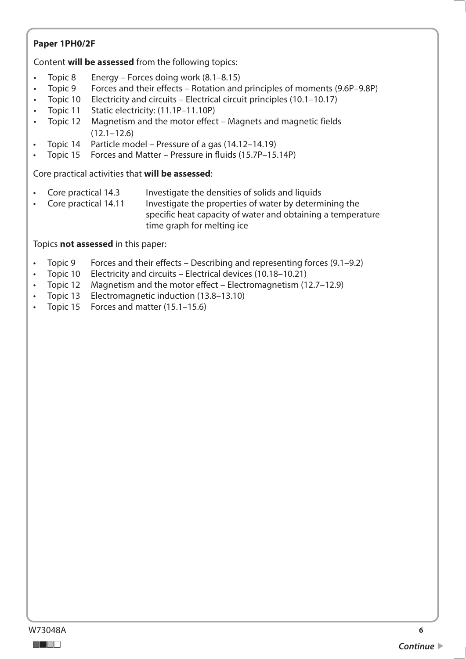# **Paper 1PH0/2F**

Content **will be assessed** from the following topics:

- Topic 8 Energy Forces doing work  $(8.1-8.15)$
- Topic 9 Forces and their effects Rotation and principles of moments (9.6P–9.8P)
- Topic 10<br>Topic 11 • Topic 10 Electricity and circuits – Electrical circuit principles (10.1–10.17)
- Topic 11 Static electricity: (11.1P–11.10P)
- Topic 12 Magnetism and the motor effect Magnets and magnetic fields (12.1–12.6)
- Topic 14 Particle model Pressure of a gas (14.12–14.19)
- Topic 15 Forces and Matter Pressure in fluids (15.7P–15.14P)

Core practical activities that **will be assessed**:

- Core practical 14.3 Investigate the densities of solids and liquids
- Core practical 14.11 Investigate the properties of water by determining the specific heat capacity of water and obtaining a temperature time graph for melting ice

# Topics **not assessed** in this paper:

- Topic 9 Forces and their effects Describing and representing forces (9.1–9.2)
- Topic 10 Electricity and circuits Electrical devices (10.18–10.21)
- Topic 12 Magnetism and the motor effect Electromagnetism (12.7–12.9)
- Topic 13 Electromagnetic induction (13.8–13.10)
- Topic 15 Forces and matter (15.1–15.6)